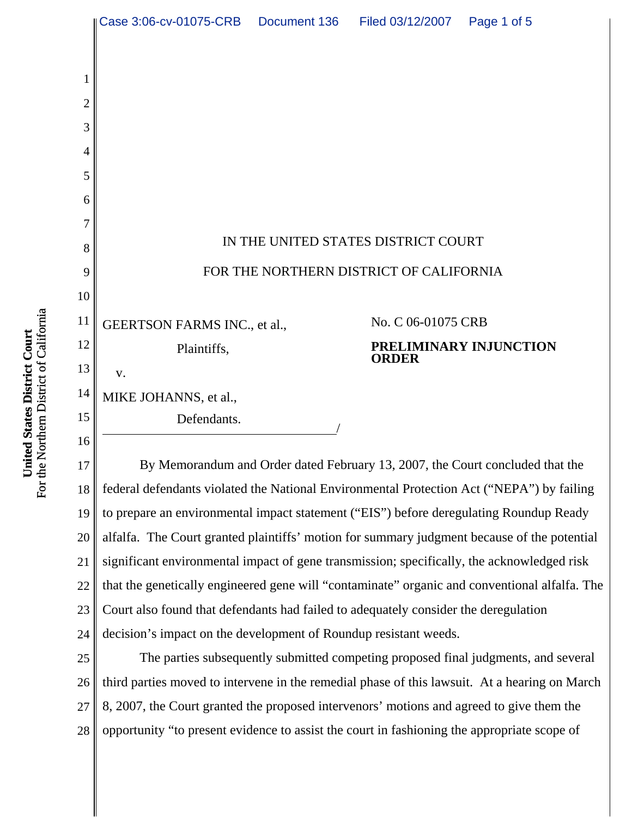|                | Case 3:06-cv-01075-CRB                                                                    | Document 136 | Filed 03/12/2007   | Page 1 of 5            |
|----------------|-------------------------------------------------------------------------------------------|--------------|--------------------|------------------------|
|                |                                                                                           |              |                    |                        |
| 1              |                                                                                           |              |                    |                        |
| $\overline{2}$ |                                                                                           |              |                    |                        |
| 3              |                                                                                           |              |                    |                        |
| 4              |                                                                                           |              |                    |                        |
| 5              |                                                                                           |              |                    |                        |
| 6              |                                                                                           |              |                    |                        |
| 7              |                                                                                           |              |                    |                        |
| 8              | IN THE UNITED STATES DISTRICT COURT                                                       |              |                    |                        |
| 9              | FOR THE NORTHERN DISTRICT OF CALIFORNIA                                                   |              |                    |                        |
| 10             |                                                                                           |              |                    |                        |
| 11             | GEERTSON FARMS INC., et al.,                                                              |              | No. C 06-01075 CRB |                        |
| 12             | Plaintiffs,                                                                               |              |                    | PRELIMINARY INJUNCTION |
| 13             | V.                                                                                        |              | <b>ORDER</b>       |                        |
| 14             | MIKE JOHANNS, et al.,                                                                     |              |                    |                        |
| 15             | Defendants.                                                                               |              |                    |                        |
| 16             |                                                                                           |              |                    |                        |
| 17             | By Memorandum and Order dated February 13, 2007, the Court concluded that the             |              |                    |                        |
| 18             | federal defendants violated the National Environmental Protection Act ("NEPA") by failing |              |                    |                        |
| 19             | to prepare an environmental impact statement ("EIS") before deregulating Roundup Ready    |              |                    |                        |

23 24 25 26 27 28 Court also found that defendants had failed to adequately consider the deregulation decision's impact on the development of Roundup resistant weeds. The parties subsequently submitted competing proposed final judgments, and several third parties moved to intervene in the remedial phase of this lawsuit. At a hearing on March 8, 2007, the Court granted the proposed intervenors' motions and agreed to give them the opportunity "to present evidence to assist the court in fashioning the appropriate scope of

alfalfa. The Court granted plaintiffs' motion for summary judgment because of the potential

significant environmental impact of gene transmission; specifically, the acknowledged risk

that the genetically engineered gene will "contaminate" organic and conventional alfalfa. The

20

21

22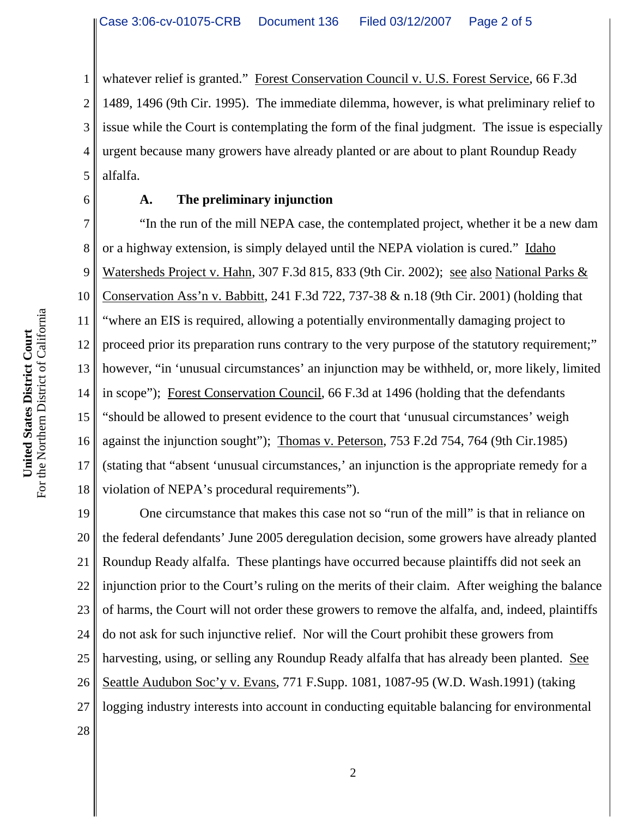1 2 3 4 5 whatever relief is granted." Forest Conservation Council v. U.S. Forest Service, 66 F.3d 1489, 1496 (9th Cir. 1995). The immediate dilemma, however, is what preliminary relief to issue while the Court is contemplating the form of the final judgment. The issue is especially urgent because many growers have already planted or are about to plant Roundup Ready alfalfa.

6

## **A. The preliminary injunction**

7 8 9 10 11 12 13 14 15 16 17 18 "In the run of the mill NEPA case, the contemplated project, whether it be a new dam or a highway extension, is simply delayed until the NEPA violation is cured." Idaho Watersheds Project v. Hahn, 307 F.3d 815, 833 (9th Cir. 2002); see also National Parks & Conservation Ass'n v. Babbitt, 241 F.3d 722, 737-38 & n.18 (9th Cir. 2001) (holding that "where an EIS is required, allowing a potentially environmentally damaging project to proceed prior its preparation runs contrary to the very purpose of the statutory requirement;" however, "in 'unusual circumstances' an injunction may be withheld, or, more likely, limited in scope"); Forest Conservation Council, 66 F.3d at 1496 (holding that the defendants "should be allowed to present evidence to the court that 'unusual circumstances' weigh against the injunction sought"); Thomas v. Peterson, 753 F.2d 754, 764 (9th Cir.1985) (stating that "absent 'unusual circumstances,' an injunction is the appropriate remedy for a violation of NEPA's procedural requirements").

19 20 21 22 23 24 25 26 27 One circumstance that makes this case not so "run of the mill" is that in reliance on the federal defendants' June 2005 deregulation decision, some growers have already planted Roundup Ready alfalfa. These plantings have occurred because plaintiffs did not seek an injunction prior to the Court's ruling on the merits of their claim. After weighing the balance of harms, the Court will not order these growers to remove the alfalfa, and, indeed, plaintiffs do not ask for such injunctive relief. Nor will the Court prohibit these growers from harvesting, using, or selling any Roundup Ready alfalfa that has already been planted. See Seattle Audubon Soc'y v. Evans, 771 F.Supp. 1081, 1087-95 (W.D. Wash.1991) (taking logging industry interests into account in conducting equitable balancing for environmental

28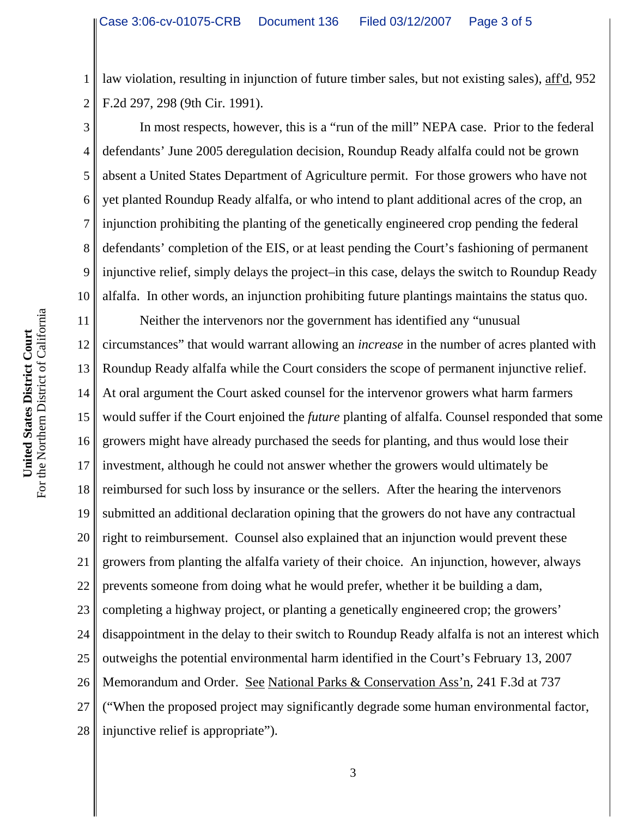1 2 law violation, resulting in injunction of future timber sales, but not existing sales), aff'd, 952 F.2d 297, 298 (9th Cir. 1991).

3 4 5 6 7 8 9 10 In most respects, however, this is a "run of the mill" NEPA case. Prior to the federal defendants' June 2005 deregulation decision, Roundup Ready alfalfa could not be grown absent a United States Department of Agriculture permit. For those growers who have not yet planted Roundup Ready alfalfa, or who intend to plant additional acres of the crop, an injunction prohibiting the planting of the genetically engineered crop pending the federal defendants' completion of the EIS, or at least pending the Court's fashioning of permanent injunctive relief, simply delays the project–in this case, delays the switch to Roundup Ready alfalfa. In other words, an injunction prohibiting future plantings maintains the status quo.

11 12 13 14 15 16 17 18 19 20 21 22 23 24 25 26 27 28 Neither the intervenors nor the government has identified any "unusual circumstances" that would warrant allowing an *increase* in the number of acres planted with Roundup Ready alfalfa while the Court considers the scope of permanent injunctive relief. At oral argument the Court asked counsel for the intervenor growers what harm farmers would suffer if the Court enjoined the *future* planting of alfalfa. Counsel responded that some growers might have already purchased the seeds for planting, and thus would lose their investment, although he could not answer whether the growers would ultimately be reimbursed for such loss by insurance or the sellers. After the hearing the intervenors submitted an additional declaration opining that the growers do not have any contractual right to reimbursement. Counsel also explained that an injunction would prevent these growers from planting the alfalfa variety of their choice. An injunction, however, always prevents someone from doing what he would prefer, whether it be building a dam, completing a highway project, or planting a genetically engineered crop; the growers' disappointment in the delay to their switch to Roundup Ready alfalfa is not an interest which outweighs the potential environmental harm identified in the Court's February 13, 2007 Memorandum and Order. See National Parks & Conservation Ass'n, 241 F.3d at 737 ("When the proposed project may significantly degrade some human environmental factor, injunctive relief is appropriate").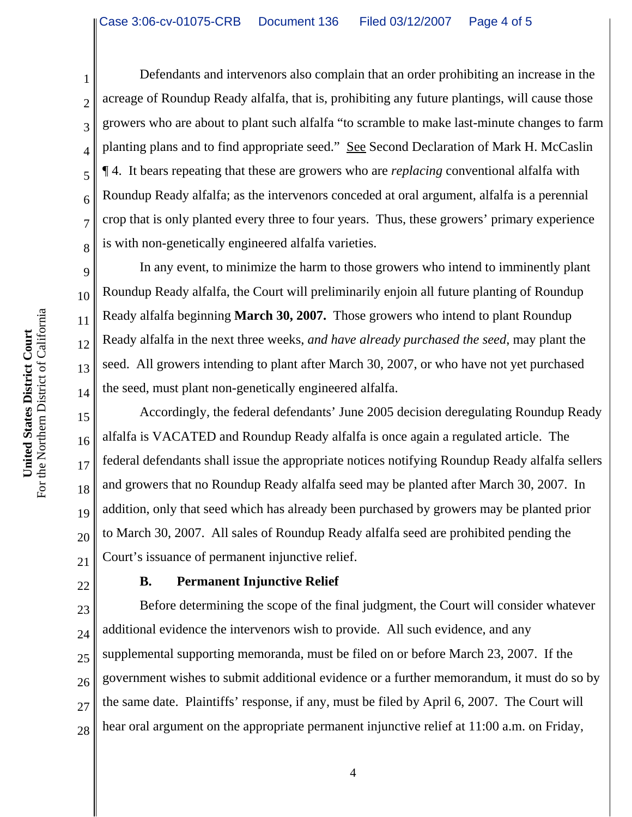Defendants and intervenors also complain that an order prohibiting an increase in the acreage of Roundup Ready alfalfa, that is, prohibiting any future plantings, will cause those growers who are about to plant such alfalfa "to scramble to make last-minute changes to farm planting plans and to find appropriate seed." See Second Declaration of Mark H. McCaslin ¶ 4. It bears repeating that these are growers who are *replacing* conventional alfalfa with Roundup Ready alfalfa; as the intervenors conceded at oral argument, alfalfa is a perennial crop that is only planted every three to four years. Thus, these growers' primary experience is with non-genetically engineered alfalfa varieties.

In any event, to minimize the harm to those growers who intend to imminently plant Roundup Ready alfalfa, the Court will preliminarily enjoin all future planting of Roundup Ready alfalfa beginning **March 30, 2007.** Those growers who intend to plant Roundup Ready alfalfa in the next three weeks, *and have already purchased the seed*, may plant the seed. All growers intending to plant after March 30, 2007, or who have not yet purchased the seed, must plant non-genetically engineered alfalfa.

15 16 17 18 19 20 21 Accordingly, the federal defendants' June 2005 decision deregulating Roundup Ready alfalfa is VACATED and Roundup Ready alfalfa is once again a regulated article. The federal defendants shall issue the appropriate notices notifying Roundup Ready alfalfa sellers and growers that no Roundup Ready alfalfa seed may be planted after March 30, 2007. In addition, only that seed which has already been purchased by growers may be planted prior to March 30, 2007. All sales of Roundup Ready alfalfa seed are prohibited pending the Court's issuance of permanent injunctive relief.

22

1

2

3

4

5

6

7

8

9

10

11

12

13

14

## **B. Permanent Injunctive Relief**

23 24 25 26 27 28 Before determining the scope of the final judgment, the Court will consider whatever additional evidence the intervenors wish to provide. All such evidence, and any supplemental supporting memoranda, must be filed on or before March 23, 2007. If the government wishes to submit additional evidence or a further memorandum, it must do so by the same date. Plaintiffs' response, if any, must be filed by April 6, 2007. The Court will hear oral argument on the appropriate permanent injunctive relief at 11:00 a.m. on Friday,